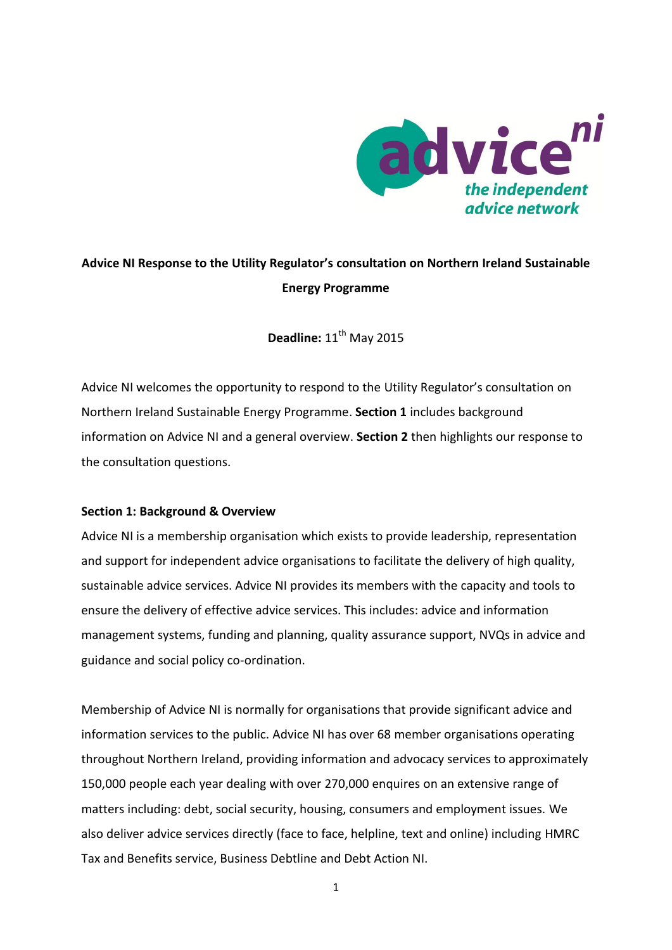

## **Advice NI Response to the Utility Regulator's consultation on Northern Ireland Sustainable Energy Programme**

**Deadline:**  $11^{th}$  May 2015

Advice NI welcomes the opportunity to respond to the Utility Regulator's consultation on Northern Ireland Sustainable Energy Programme. **Section 1** includes background information on Advice NI and a general overview. **Section 2** then highlights our response to the consultation questions.

## **Section 1: Background & Overview**

Advice NI is a membership organisation which exists to provide leadership, representation and support for independent advice organisations to facilitate the delivery of high quality, sustainable advice services. Advice NI provides its members with the capacity and tools to ensure the delivery of effective advice services. This includes: advice and information management systems, funding and planning, quality assurance support, NVQs in advice and guidance and social policy co-ordination.

Membership of Advice NI is normally for organisations that provide significant advice and information services to the public. Advice NI has over 68 member organisations operating throughout Northern Ireland, providing information and advocacy services to approximately 150,000 people each year dealing with over 270,000 enquires on an extensive range of matters including: debt, social security, housing, consumers and employment issues. We also deliver advice services directly (face to face, helpline, text and online) including HMRC Tax and Benefits service, Business Debtline and Debt Action NI.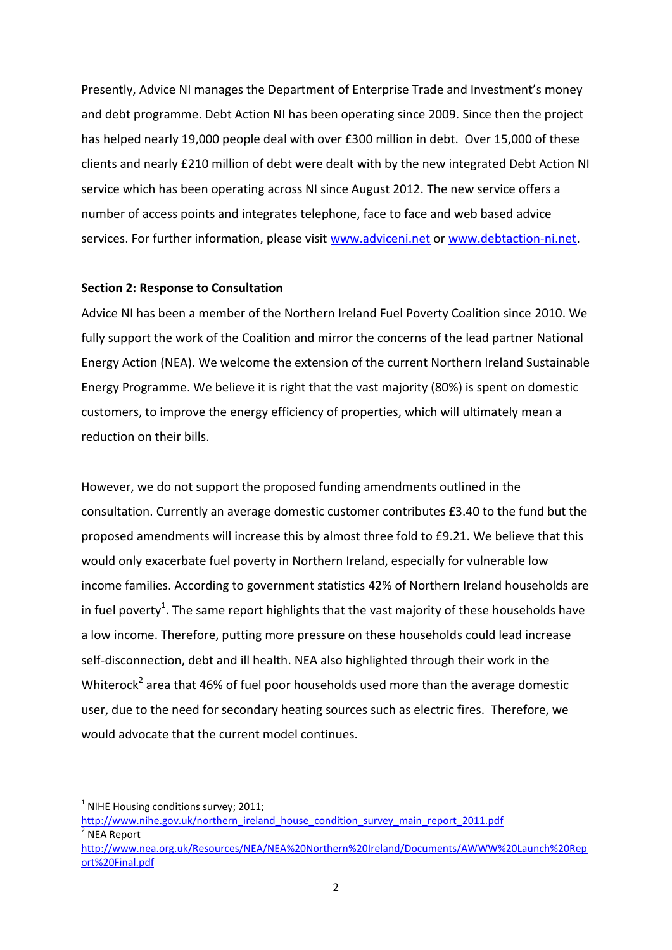Presently, Advice NI manages the Department of Enterprise Trade and Investment's money and debt programme. Debt Action NI has been operating since 2009. Since then the project has helped nearly 19,000 people deal with over £300 million in debt. Over 15,000 of these clients and nearly £210 million of debt were dealt with by the new integrated Debt Action NI service which has been operating across NI since August 2012. The new service offers a number of access points and integrates telephone, face to face and web based advice services. For further information, please visit [www.adviceni.net](http://www.adviceni.net/) or [www.debtaction-ni.net.](http://www.debtaction-ni.net/)

## **Section 2: Response to Consultation**

Advice NI has been a member of the Northern Ireland Fuel Poverty Coalition since 2010. We fully support the work of the Coalition and mirror the concerns of the lead partner National Energy Action (NEA). We welcome the extension of the current Northern Ireland Sustainable Energy Programme. We believe it is right that the vast majority (80%) is spent on domestic customers, to improve the energy efficiency of properties, which will ultimately mean a reduction on their bills.

However, we do not support the proposed funding amendments outlined in the consultation. Currently an average domestic customer contributes £3.40 to the fund but the proposed amendments will increase this by almost three fold to £9.21. We believe that this would only exacerbate fuel poverty in Northern Ireland, especially for vulnerable low income families. According to government statistics 42% of Northern Ireland households are in fuel poverty<sup>1</sup>. The same report highlights that the vast majority of these households have a low income. Therefore, putting more pressure on these households could lead increase self-disconnection, debt and ill health. NEA also highlighted through their work in the Whiterock<sup>2</sup> area that 46% of fuel poor households used more than the average domestic user, due to the need for secondary heating sources such as electric fires. Therefore, we would advocate that the current model continues.

 $<sup>1</sup>$  NIHE Housing conditions survey; 2011;</sup>

 $\overline{a}$ 

[http://www.nihe.gov.uk/northern\\_ireland\\_house\\_condition\\_survey\\_main\\_report\\_2011.pdf](http://www.nihe.gov.uk/northern_ireland_house_condition_survey_main_report_2011.pdf) 2 NEA Report

[http://www.nea.org.uk/Resources/NEA/NEA%20Northern%20Ireland/Documents/AWWW%20Launch%20Rep](http://www.nea.org.uk/Resources/NEA/NEA%20Northern%20Ireland/Documents/AWWW%20Launch%20Report%20Final.pdf) [ort%20Final.pdf](http://www.nea.org.uk/Resources/NEA/NEA%20Northern%20Ireland/Documents/AWWW%20Launch%20Report%20Final.pdf)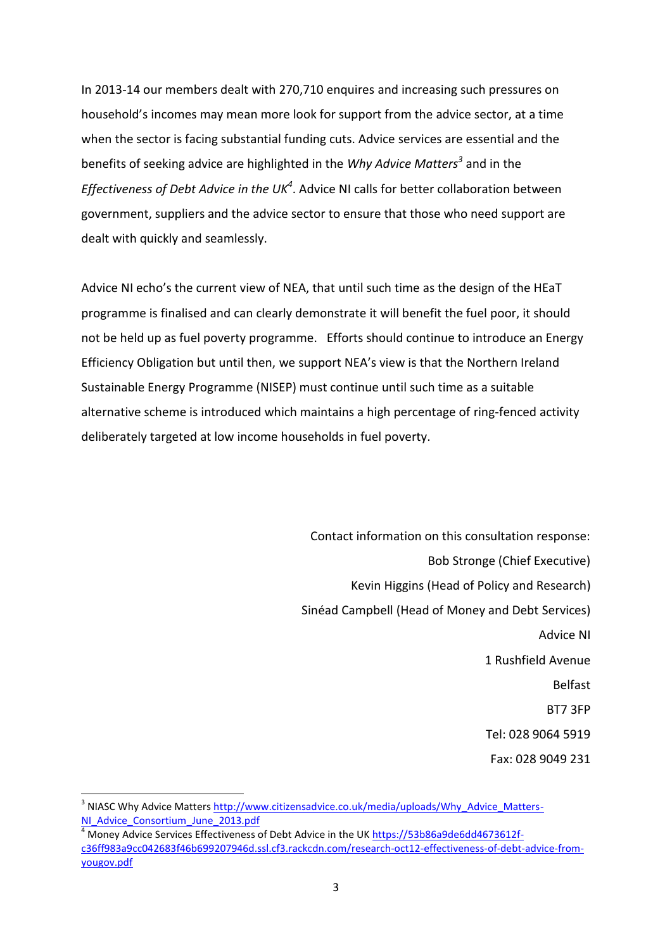In 2013-14 our members dealt with 270,710 enquires and increasing such pressures on household's incomes may mean more look for support from the advice sector, at a time when the sector is facing substantial funding cuts. Advice services are essential and the benefits of seeking advice are highlighted in the *Why Advice Matters<sup>3</sup>* and in the Effectiveness of Debt Advice in the UK<sup>4</sup>. Advice NI calls for better collaboration between government, suppliers and the advice sector to ensure that those who need support are dealt with quickly and seamlessly.

Advice NI echo's the current view of NEA, that until such time as the design of the HEaT programme is finalised and can clearly demonstrate it will benefit the fuel poor, it should not be held up as fuel poverty programme. Efforts should continue to introduce an Energy Efficiency Obligation but until then, we support NEA's view is that the Northern Ireland Sustainable Energy Programme (NISEP) must continue until such time as a suitable alternative scheme is introduced which maintains a high percentage of ring-fenced activity deliberately targeted at low income households in fuel poverty.

> Contact information on this consultation response: Bob Stronge (Chief Executive) Kevin Higgins (Head of Policy and Research) Sinéad Campbell (Head of Money and Debt Services) Advice NI 1 Rushfield Avenue Belfast BT7 3FP Tel: 028 9064 5919 Fax: 028 9049 231

<sup>3</sup> NIASC Why Advice Matters [http://www.citizensadvice.co.uk/media/uploads/Why\\_Advice\\_Matters-](http://www.citizensadvice.co.uk/media/uploads/Why_Advice_Matters-NI_Advice_Consortium_June_2013.pdf)[NI\\_Advice\\_Consortium\\_June\\_2013.pdf](http://www.citizensadvice.co.uk/media/uploads/Why_Advice_Matters-NI_Advice_Consortium_June_2013.pdf)

 $\overline{a}$ 

<sup>4</sup> Money Advice Services Effectiveness of Debt Advice in the UK [https://53b86a9de6dd4673612f](https://53b86a9de6dd4673612f-c36ff983a9cc042683f46b699207946d.ssl.cf3.rackcdn.com/research-oct12-effectiveness-of-debt-advice-from-yougov.pdf)[c36ff983a9cc042683f46b699207946d.ssl.cf3.rackcdn.com/research-oct12-effectiveness-of-debt-advice-from](https://53b86a9de6dd4673612f-c36ff983a9cc042683f46b699207946d.ssl.cf3.rackcdn.com/research-oct12-effectiveness-of-debt-advice-from-yougov.pdf)[yougov.pdf](https://53b86a9de6dd4673612f-c36ff983a9cc042683f46b699207946d.ssl.cf3.rackcdn.com/research-oct12-effectiveness-of-debt-advice-from-yougov.pdf)